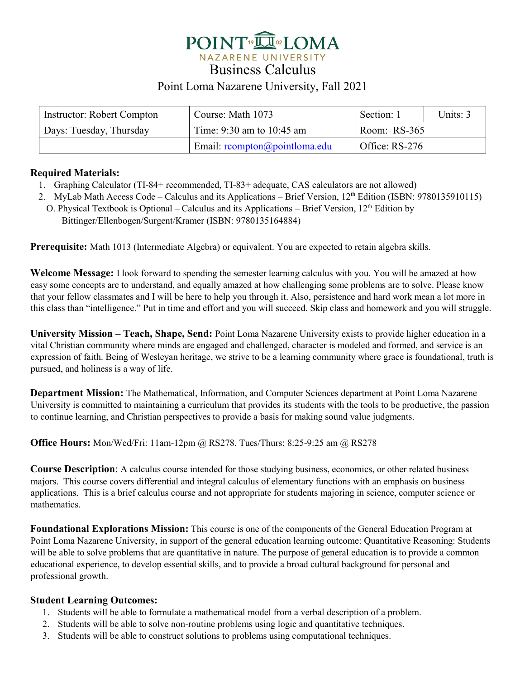

Business Calculus

## Point Loma Nazarene University, Fall 2021

| Instructor: Robert Compton | Course: Math 1073               | Section: 1     | Units: 3 |
|----------------------------|---------------------------------|----------------|----------|
| Days: Tuesday, Thursday    | Time: $9:30$ am to $10:45$ am   | Room: RS-365   |          |
|                            | Email: $rcompton@pointloma.edu$ | Office: RS-276 |          |

### **Required Materials:**

- 1. Graphing Calculator (TI-84+ recommended, TI-83+ adequate, CAS calculators are not allowed)
- 2. MyLab Math Access Code Calculus and its Applications Brief Version, 12<sup>th</sup> Edition (ISBN: 9780135910115)
- O. Physical Textbook is Optional Calculus and its Applications Brief Version,  $12<sup>th</sup>$  Edition by Bittinger/Ellenbogen/Surgent/Kramer (ISBN: 9780135164884)

**Prerequisite:** Math 1013 (Intermediate Algebra) or equivalent. You are expected to retain algebra skills.

**Welcome Message:** I look forward to spending the semester learning calculus with you. You will be amazed at how easy some concepts are to understand, and equally amazed at how challenging some problems are to solve. Please know that your fellow classmates and I will be here to help you through it. Also, persistence and hard work mean a lot more in this class than "intelligence." Put in time and effort and you will succeed. Skip class and homework and you will struggle.

**University Mission – Teach, Shape, Send:** Point Loma Nazarene University exists to provide higher education in a vital Christian community where minds are engaged and challenged, character is modeled and formed, and service is an expression of faith. Being of Wesleyan heritage, we strive to be a learning community where grace is foundational, truth is pursued, and holiness is a way of life.

**Department Mission:** The Mathematical, Information, and Computer Sciences department at Point Loma Nazarene University is committed to maintaining a curriculum that provides its students with the tools to be productive, the passion to continue learning, and Christian perspectives to provide a basis for making sound value judgments.

**Office Hours:** Mon/Wed/Fri: 11am-12pm @ RS278, Tues/Thurs: 8:25-9:25 am @ RS278

**Course Description**: A calculus course intended for those studying business, economics, or other related business majors. This course covers differential and integral calculus of elementary functions with an emphasis on business applications. This is a brief calculus course and not appropriate for students majoring in science, computer science or mathematics.

**Foundational Explorations Mission:** This course is one of the components of the General Education Program at Point Loma Nazarene University, in support of the general education learning outcome: Quantitative Reasoning: Students will be able to solve problems that are quantitative in nature. The purpose of general education is to provide a common educational experience, to develop essential skills, and to provide a broad cultural background for personal and professional growth.

## **Student Learning Outcomes:**

- 1. Students will be able to formulate a mathematical model from a verbal description of a problem.
- 2. Students will be able to solve non-routine problems using logic and quantitative techniques.
- 3. Students will be able to construct solutions to problems using computational techniques.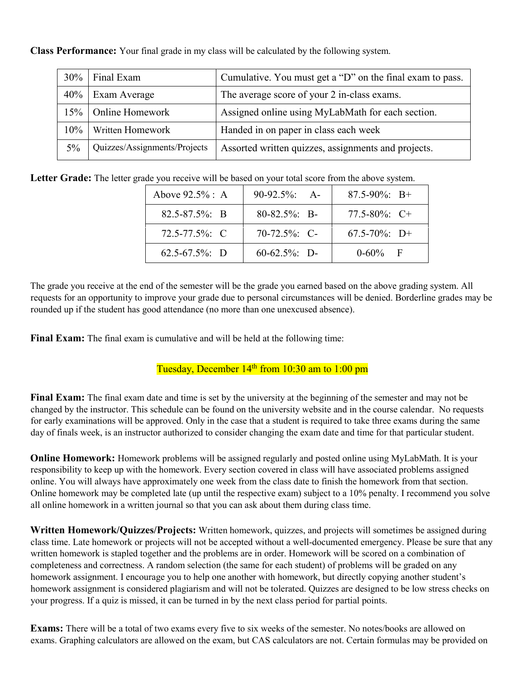**Class Performance:** Your final grade in my class will be calculated by the following system.

| 30%   | Final Exam                   | Cumulative. You must get a "D" on the final exam to pass. |
|-------|------------------------------|-----------------------------------------------------------|
| 40%   | <b>Exam Average</b>          | The average score of your 2 in-class exams.               |
| 15%   | <b>Online Homework</b>       | Assigned online using MyLabMath for each section.         |
| 10%   | <b>Written Homework</b>      | Handed in on paper in class each week                     |
| $5\%$ | Quizzes/Assignments/Projects | Assorted written quizzes, assignments and projects.       |

**Letter Grade:** The letter grade you receive will be based on your total score from the above system.

| Above $92.5\%$ : A  | $90-92.5\%$ : A-   | $87.5 - 90\%$ : B+ |
|---------------------|--------------------|--------------------|
| $82.5 - 87.5\%$ : B | $80 - 82.5\%$ ; B- | 77.5-80%: $C+$     |
| $72.5 - 77.5\%$ : C | $70-72.5\%$ : C-   | $67.5 - 70\%$ : D+ |
| $62.5 - 67.5\%$ : D | $60-62.5\%$ : D-   | $0.60\%$ F         |

The grade you receive at the end of the semester will be the grade you earned based on the above grading system. All requests for an opportunity to improve your grade due to personal circumstances will be denied. Borderline grades may be rounded up if the student has good attendance (no more than one unexcused absence).

**Final Exam:** The final exam is cumulative and will be held at the following time:

## Tuesday, December  $14<sup>th</sup>$  from 10:30 am to 1:00 pm

**Final Exam:** The final exam date and time is set by the university at the beginning of the semester and may not be changed by the instructor. This schedule can be found on the university website and in the course calendar. No requests for early examinations will be approved. Only in the case that a student is required to take three exams during the same day of finals week, is an instructor authorized to consider changing the exam date and time for that particular student.

**Online Homework:** Homework problems will be assigned regularly and posted online using MyLabMath. It is your responsibility to keep up with the homework. Every section covered in class will have associated problems assigned online. You will always have approximately one week from the class date to finish the homework from that section. Online homework may be completed late (up until the respective exam) subject to a 10% penalty. I recommend you solve all online homework in a written journal so that you can ask about them during class time.

**Written Homework/Quizzes/Projects:** Written homework, quizzes, and projects will sometimes be assigned during class time. Late homework or projects will not be accepted without a well-documented emergency. Please be sure that any written homework is stapled together and the problems are in order. Homework will be scored on a combination of completeness and correctness. A random selection (the same for each student) of problems will be graded on any homework assignment. I encourage you to help one another with homework, but directly copying another student's homework assignment is considered plagiarism and will not be tolerated. Quizzes are designed to be low stress checks on your progress. If a quiz is missed, it can be turned in by the next class period for partial points.

**Exams:** There will be a total of two exams every five to six weeks of the semester. No notes/books are allowed on exams. Graphing calculators are allowed on the exam, but CAS calculators are not. Certain formulas may be provided on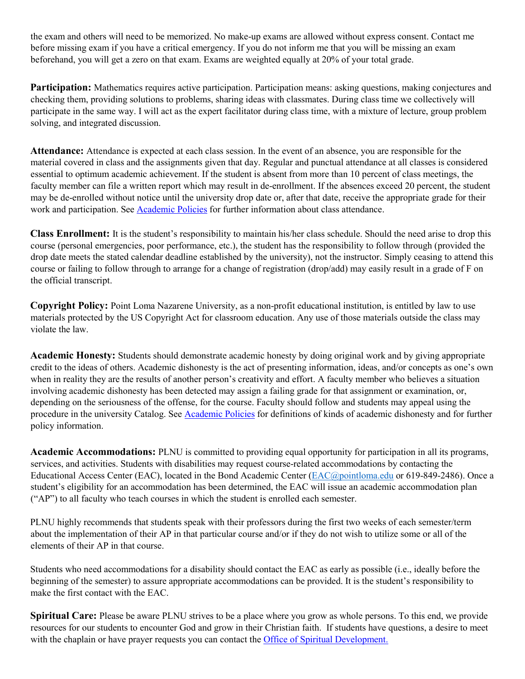the exam and others will need to be memorized. No make-up exams are allowed without express consent. Contact me before missing exam if you have a critical emergency. If you do not inform me that you will be missing an exam beforehand, you will get a zero on that exam. Exams are weighted equally at 20% of your total grade.

**Participation:** Mathematics requires active participation. Participation means: asking questions, making conjectures and checking them, providing solutions to problems, sharing ideas with classmates. During class time we collectively will participate in the same way. I will act as the expert facilitator during class time, with a mixture of lecture, group problem solving, and integrated discussion.

Attendance: Attendance is expected at each class session. In the event of an absence, you are responsible for the material covered in class and the assignments given that day. Regular and punctual attendance at all classes is considered essential to optimum academic achievement. If the student is absent from more than 10 percent of class meetings, the faculty member can file a written report which may result in de-enrollment. If the absences exceed 20 percent, the student may be de-enrolled without notice until the university drop date or, after that date, receive the appropriate grade for their work and participation. See Academic Policies for further information about class attendance.

**Class Enrollment:** It is the student's responsibility to maintain his/her class schedule. Should the need arise to drop this course (personal emergencies, poor performance, etc.), the student has the responsibility to follow through (provided the drop date meets the stated calendar deadline established by the university), not the instructor. Simply ceasing to attend this course or failing to follow through to arrange for a change of registration (drop/add) may easily result in a grade of F on the official transcript.

**Copyright Policy:** Point Loma Nazarene University, as a non-profit educational institution, is entitled by law to use materials protected by the US Copyright Act for classroom education. Any use of those materials outside the class may violate the law.

**Academic Honesty:** Students should demonstrate academic honesty by doing original work and by giving appropriate credit to the ideas of others. Academic dishonesty is the act of presenting information, ideas, and/or concepts as one's own when in reality they are the results of another person's creativity and effort. A faculty member who believes a situation involving academic dishonesty has been detected may assign a failing grade for that assignment or examination, or, depending on the seriousness of the offense, for the course. Faculty should follow and students may appeal using the procedure in the university Catalog. See Academic Policies for definitions of kinds of academic dishonesty and for further policy information.

**Academic Accommodations:** PLNU is committed to providing equal opportunity for participation in all its programs, services, and activities. Students with disabilities may request course-related accommodations by contacting the Educational Access Center (EAC), located in the Bond Academic Center [\(EAC@pointloma.edu](mailto:EAC@pointloma.edu) or 619-849-2486). Once a student's eligibility for an accommodation has been determined, the EAC will issue an academic accommodation plan ("AP") to all faculty who teach courses in which the student is enrolled each semester.

PLNU highly recommends that students speak with their professors during the first two weeks of each semester/term about the implementation of their AP in that particular course and/or if they do not wish to utilize some or all of the elements of their AP in that course.

Students who need accommodations for a disability should contact the EAC as early as possible (i.e., ideally before the beginning of the semester) to assure appropriate accommodations can be provided. It is the student's responsibility to make the first contact with the EAC.

**Spiritual Care:** Please be aware PLNU strives to be a place where you grow as whole persons. To this end, we provide resources for our students to encounter God and grow in their Christian faith. If students have questions, a desire to meet with the chaplain or have prayer requests you can contact the Office of Spiritual Development.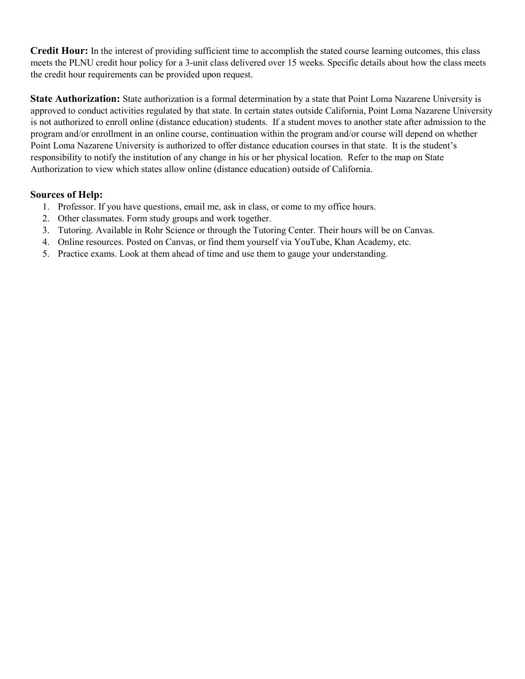**Credit Hour:** In the interest of providing sufficient time to accomplish the stated course learning outcomes, this class meets the PLNU credit hour policy for a 3-unit class delivered over 15 weeks. Specific details about how the class meets the credit hour requirements can be provided upon request.

**State Authorization:** State authorization is a formal determination by a state that Point Loma Nazarene University is approved to conduct activities regulated by that state. In certain states outside California, Point Loma Nazarene University is not authorized to enroll online (distance education) students. If a student moves to another state after admission to the program and/or enrollment in an online course, continuation within the program and/or course will depend on whether Point Loma Nazarene University is authorized to offer distance education courses in that state. It is the student's responsibility to notify the institution of any change in his or her physical location. Refer to the map on State Authorization to view which states allow online (distance education) outside of California.

### **Sources of Help:**

- 1. Professor. If you have questions, email me, ask in class, or come to my office hours.
- 2. Other classmates. Form study groups and work together.
- 3. Tutoring. Available in Rohr Science or through the Tutoring Center. Their hours will be on Canvas.
- 4. Online resources. Posted on Canvas, or find them yourself via YouTube, Khan Academy, etc.
- 5. Practice exams. Look at them ahead of time and use them to gauge your understanding.